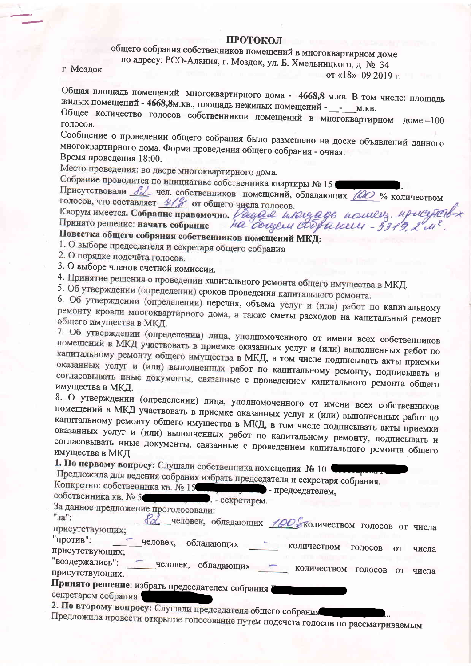#### **ПРОТОКОЛ**

# общего собрания собственников помещений в многоквартирном доме

по адресу: РСО-Алания, г. Моздок, ул. Б. Хмельницкого, д. № 34

г. Моздок

от «18» 09 2019 г.

Общая площадь помещений многоквартирного дома - 4668,8 м.кв. В том числе: площадь жилых помещений - 4668,8м.кв., площадь нежилых помещений - \_\_\_\_\_ м.кв. Общее количество голосов собственников помещений в многоквартирном доме-100

голосов.

Сообщение о проведении общего собрания было размещено на доске объявлений данного многоквартирного дома. Форма проведения общего собрания - очная. Время проведения 18:00.

Место проведения: во дворе многоквартирного дома.

Собрание проводится по инициативе собственника квартиры № 15

Присутствовали Я чел. собственников помещений, обладающих 100 % количеством голосов, что составляет  $4/8$  от общего числа голосов.

Кворум имеется. Собрание правомочно. Дация индециде пошец, присудеть-

Повестка общего собрания собственников помещений МКД:

1. О выборе председателя и секретаря общего собрания

2. О порядке подсчёта голосов.

3. О выборе членов счетной комиссии.

4. Принятие решения о проведении капитального ремонта общего имущества в МКД.

5. Об утверждении (определении) сроков проведения капитального ремонта.

6. Об утверждении (определении) перечня, объема услуг и (или) работ по капитальному ремонту кровли многоквартирного дома, а также сметы расходов на капитальный ремонт общего имущества в МКД.

7. Об утверждении (определении) лица, уполномоченного от имени всех собственников помещений в МКД участвовать в приемке оказанных услуг и (или) выполненных работ по капитальному ремонту общего имущества в МКД, в том числе подписывать акты приемки оказанных услуг и (или) выполненных работ по капитальному ремонту, подписывать и согласовывать иные документы, связанные с проведением капитального ремонта общего имущества в МКД.

8. О утверждении (определении) лица, уполномоченного от имени всех собственников помещений в МКД участвовать в приемке оказанных услуг и (или) выполненных работ по капитальному ремонту общего имущества в МКД, в том числе подписывать акты приемки оказанных услуг и (или) выполненных работ по капитальному ремонту, подписывать и согласовывать иные документы, связанные с проведением капитального ремонта общего имущества в МКД

1. По первому вопросу: Слушали собственника помещения № 10 Предложила для ведения собрания избрать председателя и секретаря собрания. Конкретно: собственника кв. № 15 - председателем, собственника кв. № 5 . - секретарем. За данное предложение проголосовали: "<sub>3a"</sub>: человек, обладающих / ОС количеством голосов от числа присутствующих: "против": человек, обладающих количеством голосов **OT** присутствующих; числа "воздержались": человек, обладающих - количеством голосов от числа присутствующих. Принято решение: избрать председателем собрания секретарем собрания 2. По второму вопросу: Слушали председателя общего собрания Предложила провести открытое голосование путем подсчета голосов по рассматриваемым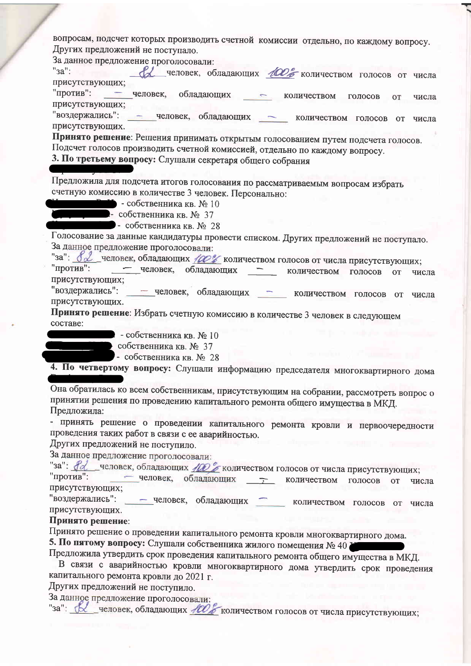| вопросам, подсчет которых производить счетной комиссии отдельно, по каждому вопросу.<br>Других предложений не поступало.<br>За данное предложение проголосовали:                                                                                    |
|-----------------------------------------------------------------------------------------------------------------------------------------------------------------------------------------------------------------------------------------------------|
| $"3a"$ :<br>А человек, обладающих 100% количеством голосов от числа<br>присутствующих;                                                                                                                                                              |
| "против": - человек, обладающих -<br>количеством<br>голосов<br>OT<br>числа<br>присутствующих;                                                                                                                                                       |
| "воздержались": - человек, обладающих - количеством голосов от числа<br>присутствующих.                                                                                                                                                             |
| Принято решение: Решения принимать открытым голосованием путем подсчета голосов.<br>Подсчет голосов производить счетной комиссией, отдельно по каждому вопросу.<br>3. По третьему вопросу: Слушали секретаря общего собрания                        |
| Предложила для подсчета итогов голосования по рассматриваемым вопросам избрать<br>счетную комиссию в количестве 3 человек. Персонально:<br>$\blacksquare$ - собственника кв. № 10<br>- собственника кв. № 37<br>$\bullet$ собственника кв. $N_2$ 28 |
| Голосование за данные кандидатуры провести списком. Других предложений не поступало.<br>За данное предложение проголосовали:                                                                                                                        |
| "за": 82 человек, обладающих / 20% количеством голосов от числа присутствующих;<br>"против": - человек, обладающих<br>количеством<br>голосов<br><b>OT</b><br>числа<br>присутствующих;                                                               |
| "воздержались": - человек, обладающих - количеством голосов от<br>числа<br>присутствующих.<br>Принято решение: Избрать счетную комиссию в количестве 3 человек в следующем                                                                          |
| составе:<br>- собственника кв. № 10                                                                                                                                                                                                                 |
| собственника кв. № 37<br>- собственника кв. № 28                                                                                                                                                                                                    |
| 4. По четвертому вопросу: Слушали информацию председателя многоквартирного дома                                                                                                                                                                     |
| Она обратилась ко всем собственникам, присутствующим на собрании, рассмотреть вопрос о<br>принятии решения по проведению капитального ремонта общего имущества в МКД.<br>Предложила:                                                                |
| - принять решение о проведении капитального ремонта кровли и первоочередности<br>проведения таких работ в связи с ее аварийностью.<br>Других предложений не поступило.                                                                              |
| За данное предложение проголосовали:                                                                                                                                                                                                                |
| "за": <i>fd</i> человек, обладающих <i>ACO</i> с количеством голосов от числа присутствующих;<br>"против":<br>- человек, обладающих<br>количеством<br>голосов<br><b>OT</b><br>числа<br>присутствующих;                                              |
| "воздержались": - человек, обладающих<br>количеством голосов<br><b>OT</b><br>числа<br>присутствующих.                                                                                                                                               |
| Принято решение:<br>Принято решение о проведении капитального ремонта кровли многоквартирного дома.                                                                                                                                                 |
| 5. По пятому вопросу: Слушали собственника жилого помещения № 40                                                                                                                                                                                    |
| Предложила утвердить срок проведения капитального ремонта общего имущества в МКД.<br>В связи с аварийностью кровли многоквартирного дома утвердить срок проведения<br>капитального ремонта кровли до 2021 г.                                        |
| Других предложений не поступило.                                                                                                                                                                                                                    |
| За данное предложение проголосовали:<br>"за": В человек, обладающих НОГ количеством голосов от числа присутствующих;                                                                                                                                |
|                                                                                                                                                                                                                                                     |
|                                                                                                                                                                                                                                                     |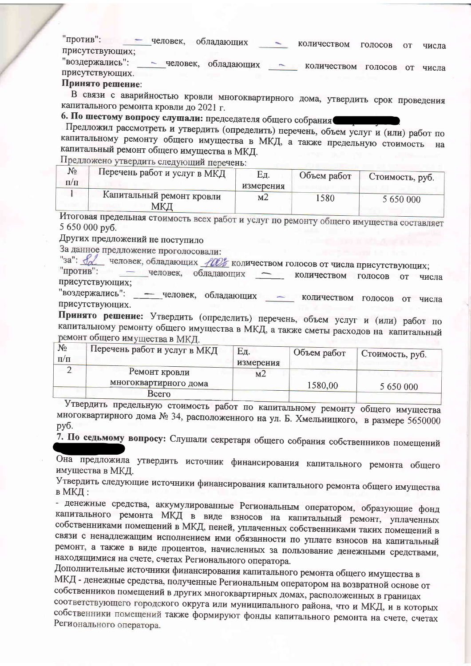| "против":       |  | человек, | обладающих | количеством | • ГОЛОСОВ | <b>OT</b> | числа |
|-----------------|--|----------|------------|-------------|-----------|-----------|-------|
| присутствующих; |  |          |            |             |           |           |       |

"воздержались": - человек, обладающих количеством голосов от числа присутствующих.

# Принято решение:

В связи с аварийностью кровли многоквартирного дома, утвердить срок проведения капитального ремонта кровли до 2021 г.

6. По шестому вопросу слушали: председателя общего собрания

Предложил рассмотреть и утвердить (определить) перечень, объем услуг и (или) работ по капитальному ремонту общего имущества в МКД, а также предельную стоимость капитальный ремонт общего имущества в МКД.

Предложено утвердить следующий перечень:

| Nº.       | Перечень работ и услуг в МКД | Εд.            | Объем работ | Стоимость, руб. |
|-----------|------------------------------|----------------|-------------|-----------------|
| $\Pi/\Pi$ |                              | измерения      |             |                 |
|           | Капитальный ремонт кровли    | M <sub>2</sub> | 1580        | 5 650 000       |
|           | МКД                          |                |             |                 |

Итоговая предельная стоимость всех работ и услуг по ремонту общего имущества составляет 5 650 000 py6.

Других предложений не поступило

За данное предложение проголосовали:

"за": Уливек, обладающих 100% количеством голосов от числа присутствующих;

"против": - человек, обладающих количеством голосов от числа присутствующих;

"воздержались": - человек, обладающих - количеством голосов от числа присутствующих.

Принято решение: Утвердить (определить) перечень, объем услуг и (или) работ по капитальному ремонту общего имущества в МКД, а также сметы расходов на капитальный ремонт общего имущества в МКД.

| $N_2$<br>$\Pi/\Pi$ | Перечень работ и услуг в МКД | Eд<br>измерения | Объем работ | Стоимость, руб. |  |
|--------------------|------------------------------|-----------------|-------------|-----------------|--|
|                    | Ремонт кровли                | M <sub>2</sub>  |             |                 |  |
|                    | многоквартирного дома        |                 | 1580,00     | 5 650 000       |  |
|                    | Всего                        |                 |             |                 |  |
|                    |                              |                 |             |                 |  |

Утвердить предельную стоимость работ по капитальному ремонту общего имущества многоквартирного дома № 34, расположенного на ул. Б. Хмельницкого, в размере 5650000 руб.

7. По седьмому вопросу: Слушали секретаря общего собрания собственников помещений

Она предложила утвердить источник финансирования капитального ремонта общего имущества в МКД.

Утвердить следующие источники финансирования капитального ремонта общего имущества в МКЛ:

- денежные средства, аккумулированные Региональным оператором, образующие фонд капитального ремонта МКД в виде взносов на капитальный ремонт, уплаченных собственниками помещений в МКД, пеней, уплаченных собственниками таких помещений в связи с ненадлежащим исполнением ими обязанности по уплате взносов на капитальный ремонт, а также в виде процентов, начисленных за пользование денежными средствами, находящимися на счете, счетах Регионального оператора.

Дополнительные источники финансирования капитального ремонта общего имущества в МКД - денежные средства, полученные Региональным оператором на возвратной основе от собственников помещений в других многоквартирных домах, расположенных в границах соответствующего городского округа или муниципального района, что и МКД, и в которых собственники помещений также формируют фонды капитального ремонта на счете, счетах Регионального оператора.